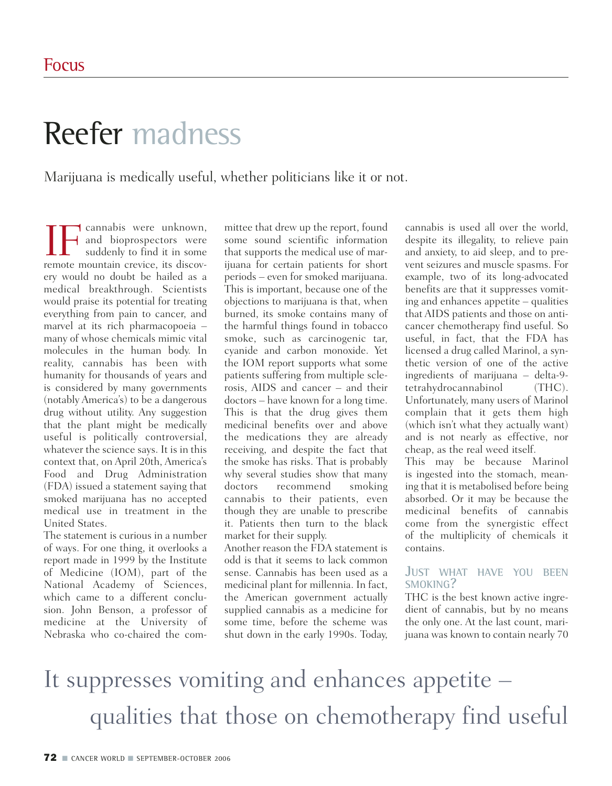# Reefer madness

Marijuana is medically useful, whether politicians like it or not.

IFC cannabis were unknown,<br>and bioprospectors were<br>suddenly to find it in some<br>remote mountain crevice its discovand bioprospectors were suddenly to find it in some remote mountain crevice, its discovery would no doubt be hailed as a medical breakthrough. Scientists would praise its potential for treating everything from pain to cancer, and marvel at its rich pharmacopoeia – many of whose chemicals mimic vital molecules in the human body. In reality, cannabis has been with humanity for thousands of years and is considered by many governments (notably America's) to be a dangerous drug without utility. Any suggestion that the plant might be medically useful is politically controversial, whatever the science says. It is in this context that, on April 20th, America's Food and Drug Administration (FDA) issued a statement saying that smoked marijuana has no accepted medical use in treatment in the United States.

The statement is curious in a number of ways. For one thing, it overlooks a report made in 1999 by the Institute of Medicine (IOM), part of the National Academy of Sciences, which came to a different conclusion. John Benson, a professor of medicine at the University of Nebraska who co-chaired the committee that drew up the report, found some sound scientific information that supports the medical use of marijuana for certain patients for short periods – even for smoked marijuana. This is important, because one of the objections to marijuana is that, when burned, its smoke contains many of the harmful things found in tobacco smoke, such as carcinogenic tar, cyanide and carbon monoxide. Yet the IOM report supports what some patients suffering from multiple sclerosis, AIDS and cancer – and their doctors – have known for a long time. This is that the drug gives them medicinal benefits over and above the medications they are already receiving, and despite the fact that the smoke has risks. That is probably why several studies show that many doctors recommend smoking cannabis to their patients, even though they are unable to prescribe it. Patients then turn to the black market for their supply.

Another reason the FDA statement is odd is that it seems to lack common sense. Cannabis has been used as a medicinal plant for millennia. In fact, the American government actually supplied cannabis as a medicine for some time, before the scheme was shut down in the early 1990s. Today,

cannabis is used all over the world, despite its illegality, to relieve pain and anxiety, to aid sleep, and to prevent seizures and muscle spasms. For example, two of its long-advocated benefits are that it suppresses vomiting and enhances appetite – qualities that AIDS patients and those on anticancer chemotherapy find useful. So useful, in fact, that the FDA has licensed a drug called Marinol, a synthetic version of one of the active ingredients of marijuana – delta-9 tetrahydrocannabinol (THC). Unfortunately, many users of Marinol complain that it gets them high (which isn't what they actually want) and is not nearly as effective, nor cheap, as the real weed itself.

This may be because Marinol is ingested into the stomach, meaning that it is metabolised before being absorbed. Or it may be because the medicinal benefits of cannabis come from the synergistic effect of the multiplicity of chemicals it contains.

#### **JUST WHAT HAVE YOU BEEN SMOKING?**

THC is the best known active ingredient of cannabis, but by no means the only one. At the last count, marijuana was known to contain nearly 70

### It suppresses vomiting and enhances appetite – qualities that those on chemotherapy find useful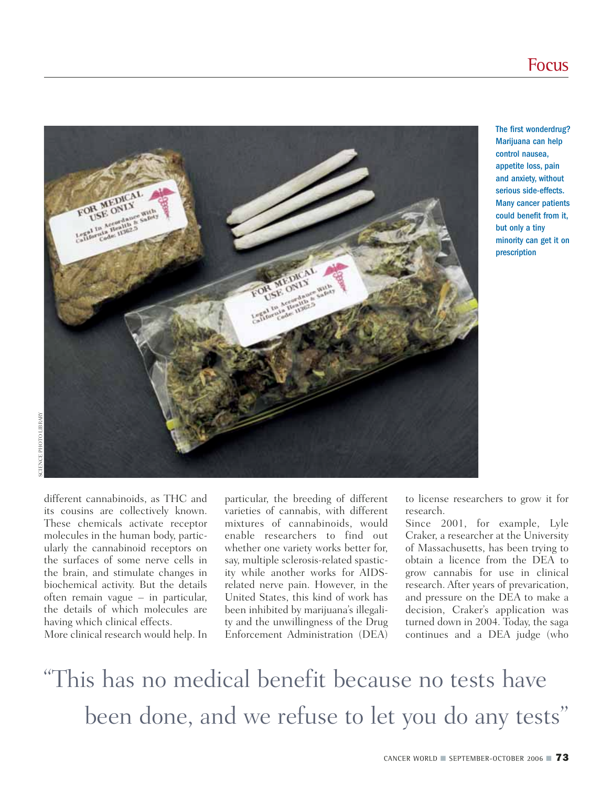

The first wonderdrug? Marijuana can help control nausea, appetite loss, pain and anxiety, without serious side-effects. Many cancer patients could benefit from it, but only a tiny minority can get it on prescription

different cannabinoids, as THC and its cousins are collectively known. These chemicals activate receptor molecules in the human body, particularly the cannabinoid receptors on the surfaces of some nerve cells in the brain, and stimulate changes in biochemical activity. But the details often remain vague – in particular, the details of which molecules are

having which clinical effects. More clinical research would help. In particular, the breeding of different varieties of cannabis, with different mixtures of cannabinoids, would enable researchers to find out whether one variety works better for, say, multiple sclerosis-related spasticity while another works for AIDSrelated nerve pain. However, in the United States, this kind of work has been inhibited by marijuana's illegality and the unwillingness of the Drug Enforcement Administration (DEA)

to license researchers to grow it for research.

Since 2001, for example, Lyle Craker, a researcher at the University of Massachusetts, has been trying to obtain a licence from the DEA to grow cannabis for use in clinical research. After years of prevarication, and pressure on the DEA to make a decision, Craker's application was turned down in 2004. Today, the saga continues and a DEA judge (who

"This has no medical benefit because no tests have been done, and we refuse to let you do any tests"